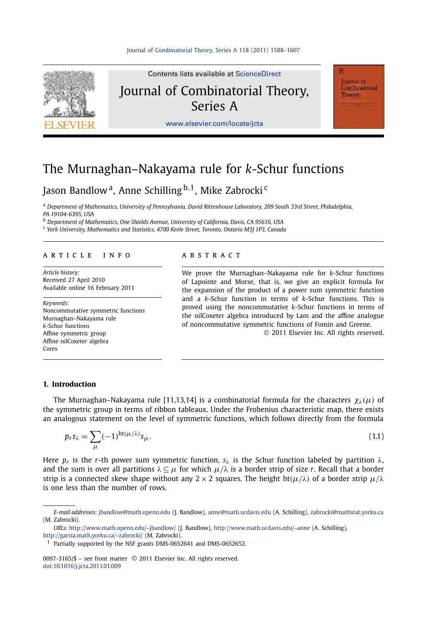

Contents lists available at [ScienceDirect](http://www.ScienceDirect.com/) Journal of Combinatorial Theory, Series A

Journal of Combinatorial Theory

[www.elsevier.com/locate/jcta](http://www.elsevier.com/locate/jcta)

# The Murnaghan–Nakayama rule for *k*-Schur functions

## Jason Bandlow a, Anne Schilling <sup>b</sup>*,*1, Mike Zabrocki <sup>c</sup>

<sup>a</sup> *Department of Mathematics, University of Pennsylvania, David Rittenhouse Laboratory, 209 South 33rd Street, Philadelphia, PA 19104-6395, USA*

<sup>b</sup> *Department of Mathematics, One Shields Avenue, University of California, Davis, CA 95616, USA*

<sup>c</sup> *York University, Mathematics and Statistics, 4700 Keele Street, Toronto, Ontario M3J 1P3, Canada*

#### article info abstract

*Article history:* Received 27 April 2010 Available online 16 February 2011

*Keywords:* Noncommutative symmetric functions Murnaghan–Nakayama rule *k*-Schur functions Affine symmetric group Affine nilCoxeter algebra Cores

We prove the Murnaghan–Nakayama rule for *k*-Schur functions of Lapointe and Morse, that is, we give an explicit formula for the expansion of the product of a power sum symmetric function and a *k*-Schur function in terms of *k*-Schur functions. This is proved using the noncommutative *k*-Schur functions in terms of the nilCoxeter algebra introduced by Lam and the affine analogue of noncommutative symmetric functions of Fomin and Greene.

© 2011 Elsevier Inc. All rights reserved.

#### **1. Introduction**

The Murnaghan–Nakayama rule [11,13,14] is a combinatorial formula for the characters  $\chi_{\lambda}(\mu)$  of the symmetric group in terms of ribbon tableaux. Under the Frobenius characteristic map, there exists an analogous statement on the level of symmetric functions, which follows directly from the formula

$$
p_r s_\lambda = \sum_{\mu} (-1)^{\text{ht}(\mu/\lambda)} s_\mu.
$$
\n(1.1)

Here  $p_r$  is the *r*-th power sum symmetric function,  $s_\lambda$  is the Schur function labeled by partition  $\lambda$ , and the sum is over all partitions  $\lambda \subseteq \mu$  for which  $\mu/\lambda$  is a border strip of size *r*. Recall that a border strip is a connected skew shape without any  $2 \times 2$  squares. The height ht $(\mu/\lambda)$  of a border strip  $\mu/\lambda$ is one less than the number of rows.

0097-3165/\$ – see front matter © 2011 Elsevier Inc. All rights reserved. [doi:10.1016/j.jcta.2011.01.009](http://dx.doi.org/10.1016/j.jcta.2011.01.009)

*E-mail addresses:* [jbandlow@math.upenn.edu](mailto:jbandlow@math.upenn.edu) (J. Bandlow), [anne@math.ucdavis.edu](mailto:anne@math.ucdavis.edu) (A. Schilling), [zabrocki@mathstat.yorku.ca](mailto:zabrocki@mathstat.yorku.ca) (M. Zabrocki).

*URLs:* <http://www.math.upenn.edu/~jbandlow/> (J. Bandlow), <http://www.math.ucdavis.edu/~anne> (A. Schilling), <http://garsia.math.yorku.ca/~zabrocki/> (M. Zabrocki).

<sup>&</sup>lt;sup>1</sup> Partially supported by the NSF grants DMS-0652641 and DMS-0652652.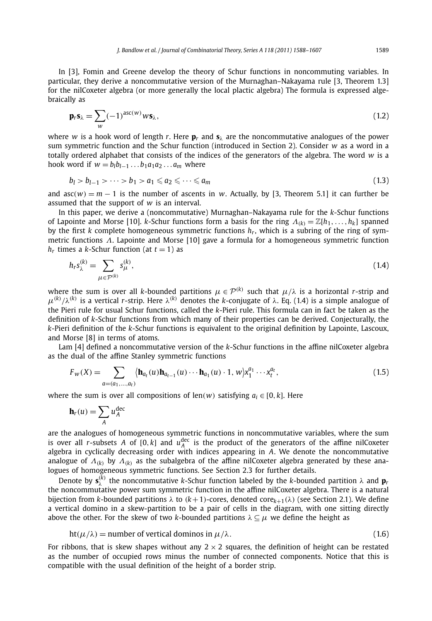In [3], Fomin and Greene develop the theory of Schur functions in noncommuting variables. In particular, they derive a noncommutative version of the Murnaghan–Nakayama rule [3, Theorem 1.3] for the nilCoxeter algebra (or more generally the local plactic algebra) The formula is expressed algebraically as

$$
\mathbf{p}_r \mathbf{s}_{\lambda} = \sum_{w} (-1)^{\text{asc}(w)} w \mathbf{s}_{\lambda}, \tag{1.2}
$$

where *w* is a hook word of length *r*. Here  $p_r$  and  $s_\lambda$  are the noncommutative analogues of the power sum symmetric function and the Schur function (introduced in Section 2). Consider *w* as a word in a totally ordered alphabet that consists of the indices of the generators of the algebra. The word *w* is a hook word if  $w = b_1b_{l-1} \ldots b_1a_1a_2 \ldots a_m$  where

$$
b_l > b_{l-1} > \cdots > b_1 > a_1 \leq a_2 \leq \cdots \leq a_m \tag{1.3}
$$

and  $asc(w) = m - 1$  is the number of ascents in *w*. Actually, by [3, Theorem 5.1] it can further be assumed that the support of *w* is an interval.

In this paper, we derive a (noncommutative) Murnaghan–Nakayama rule for the *k*-Schur functions of Lapointe and Morse [10]. *k*-Schur functions form a basis for the ring *Λ(k)* = Z[*h*1*,...,hk*] spanned by the first *k* complete homogeneous symmetric functions *hr*, which is a subring of the ring of symmetric functions *Λ*. Lapointe and Morse [10] gave a formula for a homogeneous symmetric function  $h_r$  times a *k*-Schur function (at  $t = 1$ ) as

$$
h_r s_{\lambda}^{(k)} = \sum_{\mu \in \mathcal{P}^{(k)}} s_{\mu}^{(k)},\tag{1.4}
$$

where the sum is over all *k*-bounded partitions  $\mu \in \mathcal{P}^{(k)}$  such that  $\mu/\lambda$  is a horizontal *r*-strip and  $\mu^{(k)}/\lambda^{(k)}$  is a vertical *r*-strip. Here  $\lambda^{(k)}$  denotes the *k*-conjugate of  $\lambda$ . Eq. (1.4) is a simple analogue of the Pieri rule for usual Schur functions, called the *k*-Pieri rule. This formula can in fact be taken as the definition of *k*-Schur functions from which many of their properties can be derived. Conjecturally, the *k*-Pieri definition of the *k*-Schur functions is equivalent to the original definition by Lapointe, Lascoux, and Morse [8] in terms of atoms.

Lam [4] defined a noncommutative version of the *k*-Schur functions in the affine nilCoxeter algebra as the dual of the affine Stanley symmetric functions

$$
F_{w}(X) = \sum_{a=(a_1,...,a_t)} \langle \mathbf{h}_{a_t}(u) \mathbf{h}_{a_{t-1}}(u) \cdots \mathbf{h}_{a_1}(u) \cdot 1, w \rangle x_1^{a_1} \cdots x_t^{a_t},
$$
\n(1.5)

where the sum is over all compositions of len(*w*) satisfying  $a_i \in [0, k]$ . Here

$$
\mathbf{h}_r(u) = \sum_A u_A^{\text{dec}}
$$

are the analogues of homogeneous symmetric functions in noncommutative variables, where the sum is over all *r*-subsets *A* of [0, *k*] and  $u_A^{\text{dec}}$  is the product of the generators of the affine nilCoxeter algebra in cyclically decreasing order with indices appearing in *A*. We denote the noncommutative analogue of *Λ(k)* by *Λ(k)* as the subalgebra of the affine nilCoxeter algebra generated by these analogues of homogeneous symmetric functions. See Section 2.3 for further details.

Denote by  $\mathbf{s}_{\lambda}^{(k)}$  the noncommutative *k*-Schur function labeled by the *k*-bounded partition  $\lambda$  and  $\mathbf{p}_r$ the noncommutative power sum symmetric function in the affine nilCoxeter algebra. There is a natural bijection from *k*-bounded partitions *λ* to *(k*+1*)*-cores, denoted core*k*+1*(λ)* (see Section 2.1). We define a vertical domino in a skew-partition to be a pair of cells in the diagram, with one sitting directly above the other. For the skew of two *k*-bounded partitions  $\lambda \subseteq \mu$  we define the height as

$$
ht(\mu/\lambda) = number of vertical dominos in \mu/\lambda.
$$
 (1.6)

For ribbons, that is skew shapes without any  $2 \times 2$  squares, the definition of height can be restated as the number of occupied rows minus the number of connected components. Notice that this is compatible with the usual definition of the height of a border strip.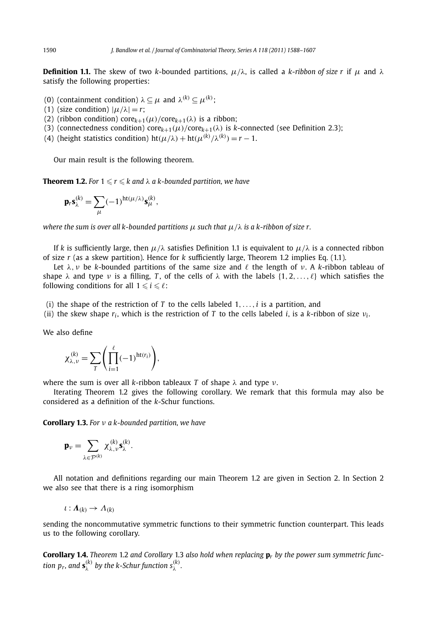**Definition 1.1.** The skew of two *k*-bounded partitions,  $\mu/\lambda$ , is called a *k*-ribbon of size r if  $\mu$  and  $\lambda$ satisfy the following properties:

- (0) (containment condition)  $\lambda \subseteq \mu$  and  $\lambda^{(k)} \subseteq \mu^{(k)}$ ;
- (1) (size condition)  $|\mu/\lambda| = r$ ;
- (2) (ribbon condition) core $k+1(\mu)/\text{core}_{k+1}(\lambda)$  is a ribbon;
- (3) (connectedness condition)  $\text{core}_{k+1}(\mu)/\text{core}_{k+1}(\lambda)$  is *k*-connected (see Definition 2.3);
- (4) (height statistics condition)  $ht(\mu/\lambda) + ht(\mu^{(k)}/\lambda^{(k)}) = r 1$ .

Our main result is the following theorem.

**Theorem 1.2.** For  $1 \leqslant r \leqslant k$  and  $\lambda$  a k-bounded partition, we have

$$
\mathbf{p}_r \mathbf{s}_{\lambda}^{(k)} = \sum_{\mu} (-1)^{\text{ht}(\mu/\lambda)} \mathbf{s}_{\mu}^{(k)},
$$

*where the sum is over all k-bounded partitions μ such that μ/λ is a k-ribbon of size r.*

If *k* is sufficiently large, then  $\mu/\lambda$  satisfies Definition 1.1 is equivalent to  $\mu/\lambda$  is a connected ribbon of size *r* (as a skew partition). Hence for *k* sufficiently large, Theorem 1.2 implies Eq. (1.1).

Let  $\lambda$ , *ν* be *k*-bounded partitions of the same size and  $\ell$  the length of *ν*. A *k*-ribbon tableau of shape  $\lambda$  and type  $\nu$  is a filling, *T*, of the cells of  $\lambda$  with the labels  $\{1, 2, \ldots, \ell\}$  which satisfies the following conditions for all  $1 \leqslant i \leqslant \ell$ :

- (i) the shape of the restriction of *T* to the cells labeled 1*,...,i* is a partition, and
- (ii) the skew shape  $r_i$ , which is the restriction of *T* to the cells labeled *i*, is a *k*-ribbon of size  $v_i$ .

We also define

$$
\chi_{\lambda,\nu}^{(k)} = \sum_{T} \left( \prod_{i=1}^{\ell} (-1)^{\text{ht}(r_i)} \right),
$$

where the sum is over all *k*-ribbon tableaux *T* of shape *λ* and type *ν*.

Iterating Theorem 1.2 gives the following corollary. We remark that this formula may also be considered as a definition of the *k*-Schur functions.

**Corollary 1.3.** *For ν a k-bounded partition, we have*

$$
\mathbf{p}_{\nu} = \sum_{\lambda \in \mathcal{P}^{(k)}} \chi_{\lambda,\nu}^{(k)} \mathbf{s}_{\lambda}^{(k)}.
$$

All notation and definitions regarding our main Theorem 1.2 are given in Section 2. In Section 2 we also see that there is a ring isomorphism

$$
\iota: \mathbf{\Lambda}_{(k)} \to \Lambda_{(k)}
$$

sending the noncommutative symmetric functions to their symmetric function counterpart. This leads us to the following corollary.

**Corollary 1.4.** *Theorem* 1.2 *and Corollary* 1.3 *also hold when replacing* **p***<sup>r</sup> by the power sum symmetric function p<sub>r</sub>, and*  $\mathbf{s}_{\lambda}^{(k)}$  *by the k-Schur function*  $s_{\lambda}^{(k)}$ *.*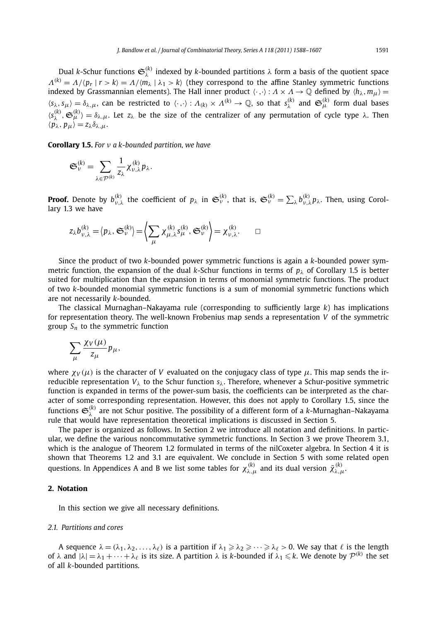Dual *k*-Schur functions  $\mathfrak{S}_{\lambda}^{(k)}$  indexed by *k*-bounded partitions  $\lambda$  form a basis of the quotient space *Λ*<sup>(*k*)</sup> = *Λ*/(*p<sub>r</sub>* | *r* > *k*) = *Λ*/(*m*<sub>*λ*</sub> | *λ*<sub>1</sub> > *k*) (they correspond to the affine Stanley symmetric functions indexed by Grassmannian elements). The Hall inner product  $\langle \cdot, \cdot \rangle : A \times A \to \mathbb{Q}$  defined by  $\langle h_\lambda, m_\mu \rangle =$  $\langle s_\lambda, s_\mu\rangle = \delta_{\lambda,\mu}$ , can be restricted to  $\langle \cdot, \cdot\rangle : A_{(k)} \times A^{(k)} \to \mathbb{Q}$ , so that  $s_\lambda^{(k)}$  and  $\mathfrak{S}_{\mu}^{(k)}$  form dual bases  $\langle s_{\lambda}^{(k)}, \mathfrak{S}_{\mu}^{(k)} \rangle = \delta_{\lambda,\mu}$ . Let  $z_{\lambda}$  be the size of the centralizer of any permutation of cycle type  $\lambda$ . Then *z*<sub>λ</sub>, *p*<sub>*μ*</sub> $\rangle$  = *z*<sub>λ</sub>δ<sub>λ, *μ*</sub>.

**Corollary 1.5.** *For ν a k-bounded partition, we have*

$$
\mathfrak{S}_{\nu}^{(k)} = \sum_{\lambda \in \mathcal{P}^{(k)}} \frac{1}{z_{\lambda}} \chi_{\nu,\lambda}^{(k)} p_{\lambda}.
$$

**Proof.** Denote by  $b_{\nu,\lambda}^{(k)}$  the coefficient of  $p_{\lambda}$  in  $\mathfrak{S}_{\nu}^{(k)}$ , that is,  $\mathfrak{S}_{\nu}^{(k)} = \sum_{\lambda} b_{\nu,\lambda}^{(k)} p_{\lambda}$ . Then, using Corollary 1.3 we have

$$
z_{\lambda}b_{\nu,\lambda}^{(k)} = \langle p_{\lambda}, \mathfrak{S}_{\nu}^{(k)} \rangle = \left\langle \sum_{\mu} \chi_{\mu,\lambda}^{(k)} s_{\mu}^{(k)}, \mathfrak{S}_{\nu}^{(k)} \right\rangle = \chi_{\nu,\lambda}^{(k)}.
$$

Since the product of two *k*-bounded power symmetric functions is again a *k*-bounded power symmetric function, the expansion of the dual *k*-Schur functions in terms of *pλ* of Corollary 1.5 is better suited for multiplication than the expansion in terms of monomial symmetric functions. The product of two *k*-bounded monomial symmetric functions is a sum of monomial symmetric functions which are not necessarily *k*-bounded.

The classical Murnaghan–Nakayama rule (corresponding to sufficiently large *k*) has implications for representation theory. The well-known Frobenius map sends a representation *V* of the symmetric group  $S_n$  to the symmetric function

$$
\sum_{\mu}\frac{\chi_V(\mu)}{z_\mu}p_\mu,
$$

where  $\chi_V(\mu)$  is the character of *V* evaluated on the conjugacy class of type  $\mu$ . This map sends the irreducible representation *Vλ* to the Schur function *sλ*. Therefore, whenever a Schur-positive symmetric function is expanded in terms of the power-sum basis, the coefficients can be interpreted as the character of some corresponding representation. However, this does not apply to Corollary 1.5, since the functions  $\mathfrak{S}_\lambda^{(k)}$  are not Schur positive. The possibility of a different form of a *k*-Murnaghan–Nakayama rule that would have representation theoretical implications is discussed in Section 5.

The paper is organized as follows. In Section 2 we introduce all notation and definitions. In particular, we define the various noncommutative symmetric functions. In Section 3 we prove Theorem 3.1, which is the analogue of Theorem 1.2 formulated in terms of the nilCoxeter algebra. In Section 4 it is shown that Theorems 1.2 and 3.1 are equivalent. We conclude in Section 5 with some related open questions. In Appendices A and B we list some tables for  $\chi^{(k)}_{\lambda,\mu}$  and its dual version  $\tilde{\chi}^{(k)}_{\lambda,\mu}$ .

### **2. Notation**

In this section we give all necessary definitions.

#### *2.1. Partitions and cores*

A sequence  $\lambda = (\lambda_1, \lambda_2, \dots, \lambda_\ell)$  is a partition if  $\lambda_1 \geq \lambda_2 \geq \dots \geq \lambda_\ell > 0$ . We say that  $\ell$  is the length of  $\lambda$  and  $|\lambda| = \lambda_1 + \cdots + \lambda_\ell$  is its size. A partition  $\lambda$  is *k*-bounded if  $\lambda_1 \leq k$ . We denote by  $\mathcal{P}^{(k)}$  the set of all *k*-bounded partitions.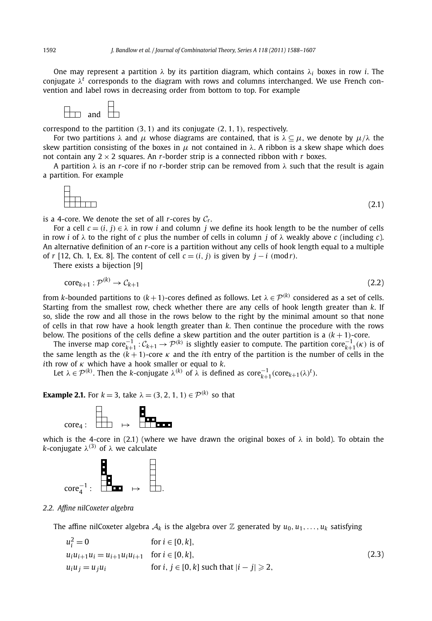One may represent a partition *λ* by its partition diagram, which contains *λ<sup>i</sup>* boxes in row *i*. The conjugate  $\lambda^t$  corresponds to the diagram with rows and columns interchanged. We use French convention and label rows in decreasing order from bottom to top. For example



correspond to the partition *(*3*,* 1*)* and its conjugate *(*2*,* 1*,* 1*)*, respectively.

For two partitions *λ* and *μ* whose diagrams are contained, that is *λ* ⊆ *μ*, we denote by *μ/λ* the skew partition consisting of the boxes in  $\mu$  not contained in  $\lambda$ . A ribbon is a skew shape which does not contain any  $2 \times 2$  squares. An *r*-border strip is a connected ribbon with *r* boxes.

A partition *λ* is an *r*-core if no *r*-border strip can be removed from *λ* such that the result is again a partition. For example

$$
\begin{array}{c}\n\Box \\
\Box \\
\Box\n\end{array}
$$
\n(2.1)

is a 4-core. We denote the set of all  $r$ -cores by  $C_r$ .

For a cell  $c = (i, j) \in \lambda$  in row *i* and column *j* we define its hook length to be the number of cells in row *i* of *λ* to the right of *c* plus the number of cells in column *j* of *λ* weakly above *c* (including *c*). An alternative definition of an *r*-core is a partition without any cells of hook length equal to a multiple of *r* [12, Ch. 1, Ex. 8]. The content of cell  $c = (i, j)$  is given by  $j - i$  (mod *r*).

There exists a bijection [9]

$$
core_{k+1}: \mathcal{P}^{(k)} \to \mathcal{C}_{k+1} \tag{2.2}
$$

from *k*-bounded partitions to  $(k+1)$ -cores defined as follows. Let  $\lambda \in \mathcal{P}^{(k)}$  considered as a set of cells. Starting from the smallest row, check whether there are any cells of hook length greater than *k*. If so, slide the row and all those in the rows below to the right by the minimal amount so that none of cells in that row have a hook length greater than *k*. Then continue the procedure with the rows below. The positions of the cells define a skew partition and the outer partition is a *(k* + 1*)*-core.

The inverse map  $\text{core}_{k+1}^{-1}: \mathcal{C}_{k+1} \to \mathcal{P}^{(k)}$  is slightly easier to compute. The partition  $\text{core}_{k+1}^{-1}(k)$  is of the same length as the  $(k + 1)$ -core  $\kappa$  and the *i*th entry of the partition is the number of cells in the *i*th row of *κ* which have a hook smaller or equal to *k*.

Let  $\lambda \in \mathcal{P}^{(k)}$ . Then the *k*-conjugate  $\lambda^{(k)}$  of  $\lambda$  is defined as  $\text{core}_{k+1}^{-1}(\text{core}_{k+1}(\lambda)^t)$ .

**Example 2.1.** For  $k = 3$ , take  $\lambda = (3, 2, 1, 1) \in \mathcal{P}^{(k)}$  so that



which is the 4-core in (2.1) (where we have drawn the original boxes of  $\lambda$  in bold). To obtain the *k*-conjugate  $λ$ <sup>(3)</sup> of  $λ$  we calculate



#### *2.2. Affine nilCoxeter algebra*

The affine nilCoxeter algebra  $A_k$  is the algebra over  $\mathbb Z$  generated by  $u_0, u_1, \ldots, u_k$  satisfying

$$
u_i^2 = 0 \qquad \text{for } i \in [0, k],
$$
  
\n
$$
u_i u_{i+1} u_i = u_{i+1} u_i u_{i+1} \quad \text{for } i \in [0, k],
$$
  
\n
$$
u_i u_j = u_j u_i \qquad \text{for } i, j \in [0, k] \text{ such that } |i - j| \ge 2,
$$
\n(2.3)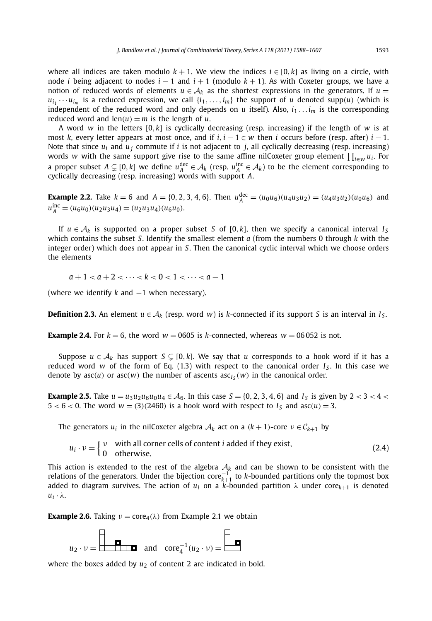where all indices are taken modulo  $k + 1$ . We view the indices  $i \in [0, k]$  as living on a circle, with node *i* being adjacent to nodes *i* − 1 and *i* + 1 (modulo *k* + 1). As with Coxeter groups, we have a notion of reduced words of elements  $u \in A_k$  as the shortest expressions in the generators. If  $u =$  $u_i_1 \cdots u_{i_m}$  is a reduced expression, we call  $\{i_1, \ldots, i_m\}$  the support of *u* denoted supp $(u)$  (which is independent of the reduced word and only depends on  $u$  itself). Also,  $i_1 \ldots i_m$  is the corresponding reduced word and  $len(u) = m$  is the length of *u*.

A word *w* in the letters [0*,k*] is cyclically decreasing (resp. increasing) if the length of *w* is at most *k*, every letter appears at most once, and if  $i, i - 1 \in w$  then *i* occurs before (resp. after)  $i - 1$ . Note that since  $u_i$  and  $u_j$  commute if *i* is not adjacent to *j*, all cyclically decreasing (resp. increasing) words *w* with the same support give rise to the same affine nilCoxeter group element *<sup>i</sup>*∈*<sup>w</sup> ui* . For a proper subset  $A \subsetneq [0, k]$  we define  $u_A^{\text{dec}} \in A_k$  (resp.  $u_A^{\text{inc}} \in A_k$ ) to be the element corresponding to cyclically decreasing (resp. increasing) words with support *A*.

**Example 2.2.** Take  $k = 6$  and  $A = \{0, 2, 3, 4, 6\}$ . Then  $u_A^{\text{dec}} = (u_0 u_6)(u_4 u_3 u_2) = (u_4 u_3 u_2)(u_0 u_6)$  and  $u_A^{\text{inc}} = (u_6 u_0)(u_2 u_3 u_4) = (u_2 u_3 u_4)(u_6 u_0).$ 

If  $u \in A_k$  is supported on a proper subset *S* of [0, *k*], then we specify a canonical interval  $I_S$ which contains the subset *S*. Identify the smallest element *a* (from the numbers 0 through *k* with the integer order) which does not appear in *S*. Then the canonical cyclic interval which we choose orders the elements

 $a+1 < a+2 < \cdots < k < 0 < 1 < \cdots < a-1$ 

(where we identify *k* and −1 when necessary).

**Definition 2.3.** An element  $u \in A_k$  (resp. word *w*) is *k*-connected if its support *S* is an interval in  $I_s$ .

**Example 2.4.** For  $k = 6$ , the word  $w = 0605$  is *k*-connected, whereas  $w = 06052$  is not.

Suppose  $u \in A_k$  has support  $S \subsetneq [0, k]$ . We say that *u* corresponds to a hook word if it has a reduced word *w* of the form of Eq. (1.3) with respect to the canonical order  $I<sub>S</sub>$ . In this case we denote by  $asc(u)$  or  $asc(w)$  the number of ascents  $asc_{I_s}(w)$  in the canonical order.

**Example 2.5.** Take  $u = u_3 u_2 u_6 u_0 u_4 \in A_6$ . In this case  $S = \{0, 2, 3, 4, 6\}$  and  $I_S$  is given by 2 < 3 < 4 <  $5 < 6 < 0$ . The word  $w = (3)(2460)$  is a hook word with respect to  $I_s$  and  $asc(u) = 3$ .

The generators  $u_i$  in the nilCoxeter algebra  $A_k$  act on a  $(k+1)$ -core  $v \in C_{k+1}$  by

$$
u_i \cdot v = \begin{cases} v & \text{with all corner cells of content } i \text{ added if they exist,} \\ 0 & \text{otherwise.} \end{cases} \tag{2.4}
$$

This action is extended to the rest of the algebra  $A_k$  and can be shown to be consistent with the relations of the generators. Under the bijection core $_{k+1}^{-1}$  to *k*-bounded partitions only the topmost box added to diagram survives. The action of *ui* on a *k*-bounded partition *λ* under core*k*+<sup>1</sup> is denoted *ui* · *λ*.

**Example 2.6.** Taking  $v = \text{core}_4(\lambda)$  from Example 2.1 we obtain



where the boxes added by  $u_2$  of content 2 are indicated in bold.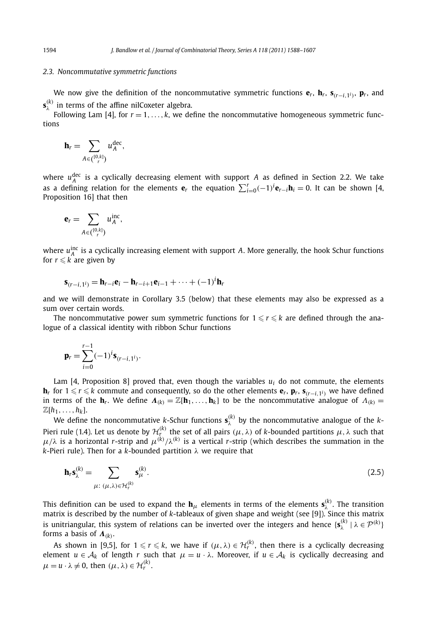#### *2.3. Noncommutative symmetric functions*

We now give the definition of the noncommutative symmetric functions  $\mathbf{e}_r$ ,  $\mathbf{h}_r$ ,  $\mathbf{s}_{(r-i+1)}$ ,  $\mathbf{p}_r$ , and  $\mathbf{s}_{\lambda}^{(k)}$  in terms of the affine nilCoxeter algebra.

Following Lam [4], for  $r = 1, \ldots, k$ , we define the noncommutative homogeneous symmetric functions

$$
\mathbf{h}_r = \sum_{A \in \binom{[0,k]}{r}} u_A^{\text{dec}},
$$

where  $u_A^{\text{dec}}$  is a cyclically decreasing element with support *A* as defined in Section 2.2. We take as a defining relation for the elements  $\mathbf{e}_r$  the equation  $\sum_{i=0}^r(-1)^i\mathbf{e}_{r-i}\mathbf{h}_i=0$ . It can be shown [4, Proposition 16] that then

$$
\mathbf{e}_r = \sum_{A \in \binom{[0,k]}{r}} u_A^{\mathrm{inc}},
$$

where  $u_A^{\text{inc}}$  is a cyclically increasing element with support *A*. More generally, the hook Schur functions for  $r \leqslant k$  are given by

$$
\mathbf{s}_{(r-i,1^i)} = \mathbf{h}_{r-i}\mathbf{e}_i - \mathbf{h}_{r-i+1}\mathbf{e}_{i-1} + \cdots + (-1)^i \mathbf{h}_r
$$

and we will demonstrate in Corollary 3.5 (below) that these elements may also be expressed as a sum over certain words.

The noncommutative power sum symmetric functions for  $1 \leqslant r \leqslant k$  are defined through the analogue of a classical identity with ribbon Schur functions

$$
\mathbf{p}_r = \sum_{i=0}^{r-1} (-1)^i \mathbf{s}_{(r-i,1^i)}.
$$

Lam [4, Proposition 8] proved that, even though the variables  $u_i$  do not commute, the elements **h***<sup>r</sup>* for 1 - *r* - *k* commute and consequently, so do the other elements **e***r*, **p***r*, **s***(r*−*i,*1*i)* we have defined in terms of the **h**<sub>*r*</sub>. We define  $\Lambda(k) = \mathbb{Z}[\mathbf{h}_1, \dots, \mathbf{h}_k]$  to be the noncommutative analogue of  $\Lambda(k) =$  $\mathbb{Z}[h_1,\ldots,h_k].$ 

We define the noncommutative *k*-Schur functions  $\mathbf{s}_{\lambda}^{(k)}$  by the noncommutative analogue of the *k*-Pieri rule (1.4). Let us denote by  $\mathcal{H}_f^{(k)}$  the set of all pairs  $(\mu, \lambda)$  of *k*-bounded partitions  $\mu, \lambda$  such that *μ*/ $λ$  is a horizontal *r*-strip and  $μ^{(k)}/λ^{(k)}$  is a vertical *r*-strip (which describes the summation in the *k*-Pieri rule). Then for a *k*-bounded partition *λ* we require that

$$
\mathbf{h}_r \mathbf{s}_{\lambda}^{(k)} = \sum_{\mu: (\mu, \lambda) \in \mathcal{H}_r^{(k)}} \mathbf{s}_{\mu}^{(k)}.
$$
 (2.5)

This definition can be used to expand the  $h_\mu$  elements in terms of the elements  $s_\lambda^{(k)}$ . The transition matrix is described by the number of *k*-tableaux of given shape and weight (see [9]). Since this matrix is unitriangular, this system of relations can be inverted over the integers and hence  $\{s_\lambda^{(k)} | \lambda \in \mathcal{P}^{(k)}\}$ forms a basis of *Λ(k)*.

As shown in [9,5], for  $1 \leq r \leq k$ , we have if  $(\mu, \lambda) \in H_r^{(k)}$ , then there is a cyclically decreasing element  $u \in A_k$  of length *r* such that  $\mu = u \cdot \lambda$ . Moreover, if  $u \in A_k$  is cyclically decreasing and  $\mu = u \cdot \lambda \neq 0$ , then  $(\mu, \lambda) \in \mathcal{H}_r^{(k)}$ .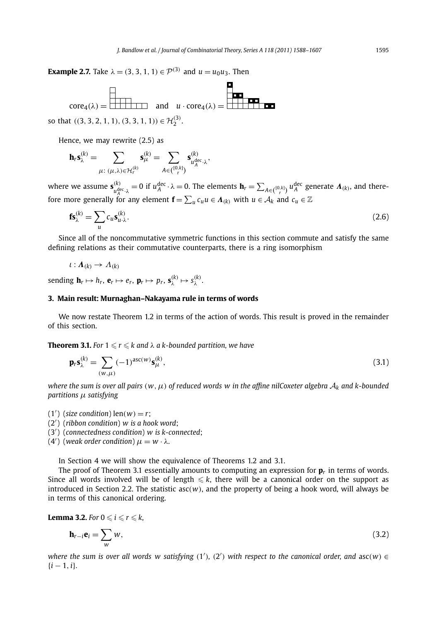**Example 2.7.** Take  $\lambda = (3, 3, 1, 1) \in \mathcal{P}^{(3)}$  and  $u = u_0 u_3$ . Then

$$
\text{core}_4(\lambda) = \boxed{\begin{array}{|c|c|c|c|}\n\hline\n\text{core}_4(\lambda) & \text{and} & u \cdot \text{core}_4(\lambda) = \boxed{\begin{array}{|c|c|c|}\n\hline\n\text{term} & \text{and} \\
\hline\n\text{to} & u & \text{core}_4(\lambda) = \boxed{\begin{array}{|c|c|}\n\hline\n\text{term} & \text{from} \\
\hline\n\text{term} & u & \text{core}_4(\lambda) = \boxed{\begin{array}{|c|c|}\n\hline\n\text{term} & \text{from} \\
\hline\n\text{term} & u & \text{core}_4(\lambda) = \boxed{\begin{array}{|c|c|}\n\hline\n\text{term} & \text{from} \\
\hline\n\text{term} & u & \text{core}_4(\lambda) = \boxed{\begin{array}{|c|c|}\n\hline\n\text{term} & \text{from} \\
\hline\n\text{term} & u & \text{core}_4(\lambda) = \boxed{\begin{array}{|c|c|}\n\hline\n\text{term} & \text{from} \\
\hline\n\text{term} & u & \text{core}_4(\lambda) = \boxed{\begin{array}{|c|c|}\n\hline\n\text{term} & \text{from} \\
\hline\n\text{term} & u & \text{core}_4(\lambda) = \boxed{\begin{array}{|c|c|}\n\hline\n\text{term} & \text{from} \\
\hline\n\text{term} & u & \text{core}_4(\lambda) = \boxed{\begin{array}{|c|c|}\n\hline\n\text{term} & \text{from} \\
\hline\n\text{term} & u & \text{core}_4(\lambda) = \boxed{\begin{array}{|c|c|}\n\hline\n\text{term} & \text{from} \\
\hline\n\text{term} & u & \text{core}_4(\lambda) = \boxed{\begin{array}{|c|c|}\n\hline\n\text{term} & \text{from} \\
\hline\n\text{term} & u & \text{core}_4(\lambda) = \boxed{\begin{array}{|c|c|c|}\n\hline\n\text{term} & \text{from} \\
\hline\n\text{term} & u & \text{core}_
$$

Hence, we may rewrite (2.5) as

$$
\mathbf{h}_r \mathbf{s}_\lambda^{(k)} = \sum_{\mu:~(\mu,\lambda) \in \mathcal{H}_r^{(k)}} \mathbf{s}_\mu^{(k)} = \sum_{A \in \binom{[0,k]}{r}} \mathbf{s}_{u_A^{\text{dec}} \cdot \lambda}^{(k)},
$$

where we assume  $\mathbf{s}_{u_A^{\text{dec}},\lambda}^{(k)} = 0$  if  $u_A^{\text{dec}} \cdot \lambda = 0$ . The elements  $\mathbf{h}_r = \sum_{A \in \binom{[0,k]}{r}} u_A^{\text{dec}}$  generate  $\mathbf{\Lambda}_{(k)}$ , and therefore more generally for any element  $\mathbf{f} = \sum_{u} c_u u \in \mathbf{\Lambda}_{(k)}$  with  $u \in \mathcal{A}_k$  and  $c_u \in \mathbb{Z}$ 

$$
\mathbf{fs}_{\lambda}^{(k)} = \sum_{u} c_u \mathbf{s}_{u \cdot \lambda}^{(k)}.
$$
 (2.6)

Since all of the noncommutative symmetric functions in this section commute and satisfy the same defining relations as their commutative counterparts, there is a ring isomorphism

$$
\iota: \mathbf{\Lambda}_{(k)} \to \Lambda_{(k)}
$$

 ${\bf s}$  sending  ${\bf h}_r \mapsto h_r$ ,  ${\bf e}_r \mapsto e_r$ ,  ${\bf p}_r \mapsto p_r$ ,  ${\bf s}_{\lambda}^{(k)} \mapsto s_{\lambda}^{(k)}$ .

#### **3. Main result: Murnaghan–Nakayama rule in terms of words**

We now restate Theorem 1.2 in terms of the action of words. This result is proved in the remainder of this section.

**Theorem 3.1.** For  $1 \leqslant r \leqslant k$  and  $\lambda$  a k-bounded partition, we have

$$
\mathbf{p}_r \mathbf{s}_{\lambda}^{(k)} = \sum_{(w,\mu)} (-1)^{\mathrm{asc}(w)} \mathbf{s}_{\mu}^{(k)},\tag{3.1}
$$

*where the sum is over all pairs*  $(w, \mu)$  *of reduced words w in the affine nilCoxeter algebra*  $A_k$  *and k-bounded partitions μ satisfying*

 $(1')$  (*size condition*) len $(w) = r$ ;

(2 ) (*ribbon condition*) *w is a hook word*;

(3 ) (*connectedness condition*) *w is k-connected*;

(4<sup>'</sup>) (weak order condition)  $μ = w · λ$ .

In Section 4 we will show the equivalence of Theorems 1.2 and 3.1.

The proof of Theorem 3.1 essentially amounts to computing an expression for  $\mathbf{p}_r$  in terms of words. Since all words involved will be of length  $\leqslant k$ , there will be a canonical order on the support as introduced in Section 2.2. The statistic asc*(w)*, and the property of being a hook word, will always be in terms of this canonical ordering.

**Lemma 3.2.** For  $0 \leqslant i \leqslant r \leqslant k$ ,

$$
\mathbf{h}_{r-i}\mathbf{e}_i = \sum_{w} w,\tag{3.2}
$$

*where the sum is over all words w satisfying*  $(1')$ *,*  $(2')$  *with respect to the canonical order, and*  $asc(w) \in$ {*i* − 1*,i*}*.*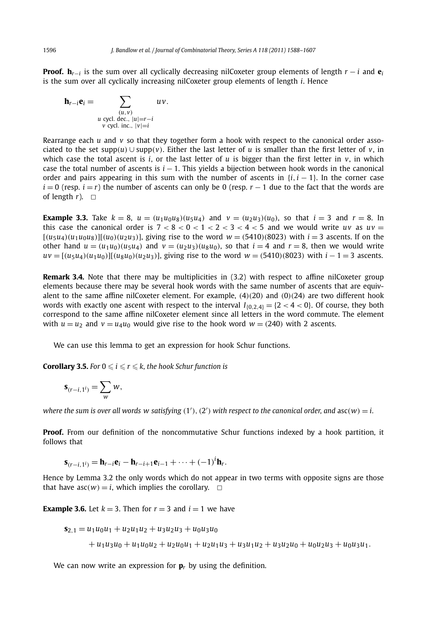**Proof.**  $h_{r-i}$  is the sum over all cyclically decreasing nilCoxeter group elements of length  $r-i$  and  $e_i$ is the sum over all cyclically increasing nilCoxeter group elements of length *i*. Hence

$$
\mathbf{h}_{r-i}\mathbf{e}_i = \sum_{\substack{(u,v) \\ u \text{ cycl. dec., } |u|=r-i \\ v \text{ cycl. inc., } |v|=i}} u v.
$$

Rearrange each *u* and *v* so that they together form a hook with respect to the canonical order associated to the set supp $(u) \cup$  supp $(v)$ . Either the last letter of *u* is smaller than the first letter of *v*, in which case the total ascent is *i*, or the last letter of  $u$  is bigger than the first letter in  $v$ , in which case the total number of ascents is *i* − 1. This yields a bijection between hook words in the canonical order and pairs appearing in this sum with the number of ascents in  $\{i, i - 1\}$ . In the corner case  $i = 0$  (resp.  $i = r$ ) the number of ascents can only be 0 (resp.  $r - 1$  due to the fact that the words are of length  $r$ ).  $\Box$ 

**Example 3.3.** Take  $k = 8$ ,  $u = (u_1u_0u_8)(u_5u_4)$  and  $v = (u_2u_3)(u_0)$ , so that  $i = 3$  and  $r = 8$ . In this case the canonical order is  $7 < 8 < 0 < 1 < 2 < 3 < 4 < 5$  and we would write *uv* as  $uv =$  $[(u_5u_4)(u_1u_0u_8)][(u_0)(u_2u_3)]$ , giving rise to the word  $w = (5410)(8023)$  with  $i = 3$  ascents. If on the other hand  $u = (u_1u_0)(u_5u_4)$  and  $v = (u_2u_3)(u_8u_0)$ , so that  $i = 4$  and  $r = 8$ , then we would write  $uv = [(u_5u_4)(u_1u_0)][(u_5u_0)(u_2u_3)]$ , giving rise to the word  $w = (5410)(8023)$  with  $i - 1 = 3$  ascents.

**Remark 3.4.** Note that there may be multiplicities in (3.2) with respect to affine nilCoxeter group elements because there may be several hook words with the same number of ascents that are equivalent to the same affine nilCoxeter element. For example, *(*4*)(*20*)* and *(*0*)(*24*)* are two different hook words with exactly one ascent with respect to the interval  $I_{(0,2,4)} = \{2 < 4 < 0\}$ . Of course, they both correspond to the same affine nilCoxeter element since all letters in the word commute. The element with  $u = u_2$  and  $v = u_4 u_0$  would give rise to the hook word  $w = (240)$  with 2 ascents.

We can use this lemma to get an expression for hook Schur functions.

**Corollary 3.5.** For  $0 \leqslant i \leqslant r \leqslant k$ , the hook Schur function is

$$
\mathbf{s}_{(r-i,1^i)}=\sum_{w}w,
$$

where the sum is over all words  $w$  satisfying  $(1'), (2')$  with respect to the canonical order, and  $asc(w) = i$ .

**Proof.** From our definition of the noncommutative Schur functions indexed by a hook partition, it follows that

$$
\mathbf{s}_{(r-i,1^i)} = \mathbf{h}_{r-i}\mathbf{e}_i - \mathbf{h}_{r-i+1}\mathbf{e}_{i-1} + \cdots + (-1)^i \mathbf{h}_r.
$$

Hence by Lemma 3.2 the only words which do not appear in two terms with opposite signs are those that have  $asc(w) = i$ , which implies the corollary.  $\Box$ 

**Example 3.6.** Let  $k = 3$ . Then for  $r = 3$  and  $i = 1$  we have

$$
s_{2,1} = u_1 u_0 u_1 + u_2 u_1 u_2 + u_3 u_2 u_3 + u_0 u_3 u_0
$$
  
+ 
$$
u_1 u_3 u_0 + u_1 u_0 u_2 + u_2 u_0 u_1 + u_2 u_1 u_3 + u_3 u_1 u_2 + u_3 u_2 u_0 + u_0 u_2 u_3 + u_0 u_3 u_1.
$$

We can now write an expression for  $\mathbf{p}_r$  by using the definition.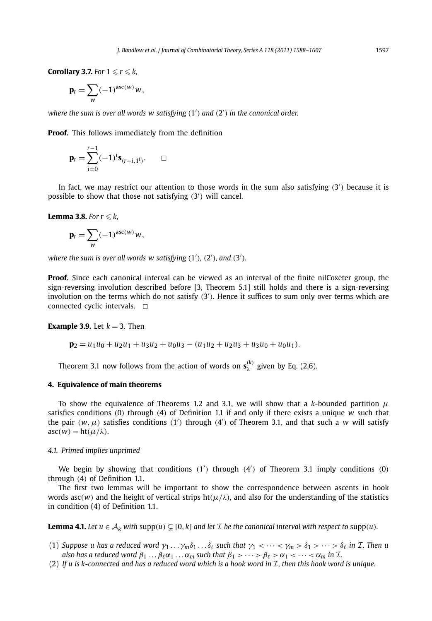**Corollary 3.7.** For  $1 \leqslant r \leqslant k$ ,

$$
\mathbf{p}_r = \sum_{w} (-1)^{asc(w)} w,
$$

*where the sum is over all words w satisfying (*1 *) and (*2 *) in the canonical order.*

**Proof.** This follows immediately from the definition

$$
\mathbf{p}_r = \sum_{i=0}^{r-1} (-1)^i \mathbf{s}_{(r-i,1^i)}.\quad \Box
$$

In fact, we may restrict our attention to those words in the sum also satisfying (3<sup>'</sup>) because it is possible to show that those not satisfying (3<sup>'</sup>) will cancel.

**Lemma 3.8.** For  $r \leq k$ ,

$$
\mathbf{p}_r = \sum_{w} (-1)^{asc(w)} w,
$$

*where the sum is over all words*  $w$  *satisfying*  $(1'), (2'),$  *and*  $(3').$ 

**Proof.** Since each canonical interval can be viewed as an interval of the finite nilCoxeter group, the sign-reversing involution described before [3, Theorem 5.1] still holds and there is a sign-reversing involution on the terms which do not satisfy (3<sup>'</sup>). Hence it suffices to sum only over terms which are connected cyclic intervals.  $\Box$ 

**Example 3.9.** Let  $k = 3$ . Then

$$
\mathbf{p}_2 = u_1 u_0 + u_2 u_1 + u_3 u_2 + u_0 u_3 - (u_1 u_2 + u_2 u_3 + u_3 u_0 + u_0 u_1).
$$

Theorem 3.1 now follows from the action of words on  $\mathbf{s}_{\lambda}^{(k)}$  given by Eq. (2.6).

#### **4. Equivalence of main theorems**

To show the equivalence of Theorems 1.2 and 3.1, we will show that a *k*-bounded partition *μ* satisfies conditions *(*0*)* through *(*4*)* of Definition 1.1 if and only if there exists a unique *w* such that the pair  $(w, \mu)$  satisfies conditions  $(1')$  through  $(4')$  of Theorem 3.1, and that such a *w* will satisfy  $asc(w) = ht(u/\lambda)$ .

#### *4.1. Primed implies unprimed*

We begin by showing that conditions (1<sup>'</sup>) through (4<sup>'</sup>) of Theorem 3.1 imply conditions (0) through *(*4*)* of Definition 1.1.

The first two lemmas will be important to show the correspondence between ascents in hook words asc $(w)$  and the height of vertical strips ht $(\mu/\lambda)$ , and also for the understanding of the statistics in condition (4) of Definition 1.1.

**Lemma 4.1.** Let  $u \in A_k$  with  $supp(u) \subsetneq [0, k]$  and let  $\mathcal I$  be the canonical interval with respect to  $supp(u)$ *.* 

- (1) Suppose u has a reduced word  $\gamma_1 \dots \gamma_m \delta_1 \dots \delta_\ell$  such that  $\gamma_1 \lt \dots \lt \gamma_m > \delta_1 > \dots > \delta_\ell$  in *T*. Then u *also has a reduced word*  $\beta_1 \dots \beta_\ell \alpha_1 \dots \alpha_m$  *such that*  $\beta_1 > \dots > \beta_\ell > \alpha_1 < \dots < \alpha_m$  *in I*.
- (2) If u is k-connected and has a reduced word which is a hook word in  $\mathcal I$ , then this hook word is unique.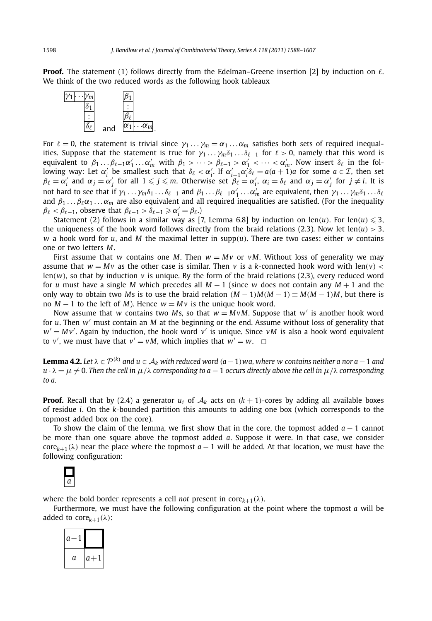**Proof.** The statement (1) follows directly from the Edelman–Greene insertion [2] by induction on  $\ell$ . We think of the two reduced words as the following hook tableaux



For  $\ell = 0$ , the statement is trivial since  $\gamma_1 \dots \gamma_m = \alpha_1 \dots \alpha_m$  satisfies both sets of required inequalities. Suppose that the statement is true for  $\gamma_1 \dots \gamma_m \delta_1 \dots \delta_{\ell-1}$  for  $\ell > 0$ , namely that this word is equivalent to  $\beta_1 \dots \beta_{\ell-1} \alpha'_1 \dots \alpha'_m$  with  $\beta_1 > \dots > \beta_{\ell-1} > \alpha'_1 < \dots < \alpha'_m$ . Now insert  $\delta_\ell$  in the following way: Let  $\alpha'_i$  be smallest such that  $\delta_\ell < \alpha'_i$ . If  $\alpha'_{i-1}\alpha'_i\delta_\ell = a(a+1)a$  for some  $a \in \mathcal{I}$ , then set  $\beta_\ell=\alpha'_i$  and  $\alpha_j=\alpha'_j$  for all  $1\leqslant j\leqslant m$ . Otherwise set  $\beta_\ell=\alpha'_i$ ,  $\alpha_i=\delta_\ell$  and  $\alpha_j=\alpha'_j$  for  $j\neq i$ . It is not hard to see that if  $\gamma_1 \dots \gamma_m \delta_1 \dots \delta_{\ell-1}$  and  $\beta_1 \dots \beta_{\ell-1} \alpha'_1 \dots \alpha'_m$  are equivalent, then  $\gamma_1 \dots \gamma_m \delta_1 \dots \delta_{\ell}$ and  $\beta_1 \ldots \beta_\ell \alpha_1 \ldots \alpha_m$  are also equivalent and all required inequalities are satisfied. (For the inequality  $\beta_{\ell} < \beta_{\ell-1}$ , observe that  $\beta_{\ell-1} > \delta_{\ell-1} \geq \alpha'_{i} = \beta_{\ell}$ .)

Statement (2) follows in a similar way as [7, Lemma 6.8] by induction on len(*u*). For len(*u*)  $\leqslant$  3, the uniqueness of the hook word follows directly from the braid relations (2.3). Now let  $len(u) > 3$ ,  $w$  a hook word for  $u$ , and  $M$  the maximal letter in supp $(u)$ . There are two cases: either  $w$  contains one or two letters *M*.

First assume that *w* contains one *M*. Then  $w = Mv$  or  $vM$ . Without loss of generality we may assume that  $w = Mv$  as the other case is similar. Then *v* is a *k*-connected hook word with len(*v*) < len*(w)*, so that by induction *v* is unique. By the form of the braid relations (2.3), every reduced word for *u* must have a single *M* which precedes all *M* − 1 (since *w* does not contain any *M* + 1 and the only way to obtain two *Ms* is to use the braid relation  $(M - 1)M(M - 1) \equiv M(M - 1)M$ , but there is no  $M - 1$  to the left of  $M$ ). Hence  $w = Mv$  is the unique hook word.

Now assume that *w* contains two *M*s, so that  $w = MvM$ . Suppose that *w'* is another hook word for *u*. Then *w* must contain an *M* at the beginning or the end. Assume without loss of generality that  $w' = Mv'$ . Again by induction, the hook word  $v'$  is unique. Since  $vM$  is also a hook word equivalent to  $v'$ , we must have that  $v' = vM$ , which implies that  $w' = w$ .  $\Box$ 

**Lemma 4.2.** Let  $\lambda \in \mathcal{P}^{(k)}$  and  $u \in \mathcal{A}_k$  with reduced word  $(a-1)$  wa, where w contains neither a nor a − 1 and  $u \cdot \lambda = \mu \neq 0$ . Then the cell in  $\mu/\lambda$  corresponding to  $a - 1$  occurs directly above the cell in  $\mu/\lambda$  corresponding *to a.*

**Proof.** Recall that by (2.4) a generator  $u_i$  of  $A_k$  acts on  $(k + 1)$ -cores by adding all available boxes of residue *i*. On the *k*-bounded partition this amounts to adding one box (which corresponds to the topmost added box on the core).

To show the claim of the lemma, we first show that in the core, the topmost added *a* − 1 cannot be more than one square above the topmost added *a*. Suppose it were. In that case, we consider  $\text{core}_{k+1}(\lambda)$  near the place where the topmost  $a-1$  will be added. At that location, we must have the following configuration:



where the bold border represents a cell *not* present in core $k+1(\lambda)$ .

Furthermore, we must have the following configuration at the point where the topmost *a* will be added to core $k+1(\lambda)$ :

| a |       |
|---|-------|
| a | $a+1$ |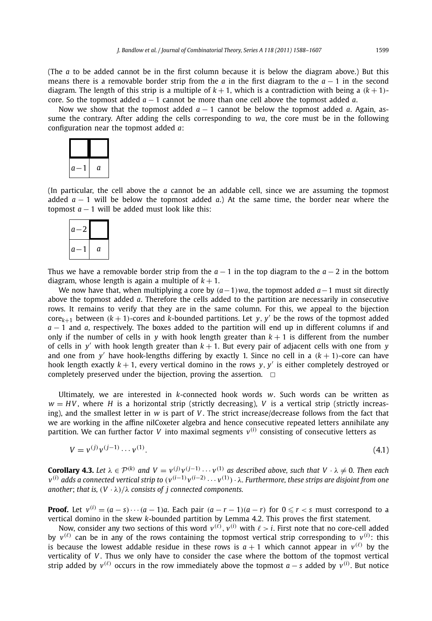(The *a* to be added cannot be in the first column because it is below the diagram above.) But this means there is a removable border strip from the *a* in the first diagram to the *a* − 1 in the second diagram. The length of this strip is a multiple of  $k + 1$ , which is a contradiction with being a  $(k + 1)$ core. So the topmost added *a* − 1 cannot be more than one cell above the topmost added *a*.

Now we show that the topmost added  $a - 1$  cannot be below the topmost added  $a$ . Again, assume the contrary. After adding the cells corresponding to *wa*, the core must be in the following configuration near the topmost added *a*:



(In particular, the cell above the *a* cannot be an addable cell, since we are assuming the topmost added  $a - 1$  will be below the topmost added  $a$ .) At the same time, the border near where the topmost  $a - 1$  will be added must look like this:



Thus we have a removable border strip from the  $a - 1$  in the top diagram to the  $a - 2$  in the bottom diagram, whose length is again a multiple of  $k + 1$ .

We now have that, when multiplying a core by *(a*−1*)wa*, the topmost added *a*−1 must sit directly above the topmost added *a*. Therefore the cells added to the partition are necessarily in consecutive rows. It remains to verify that they are in the same column. For this, we appeal to the bijection  $\text{core}_{k+1}$  between  $(k+1)$ -cores and *k*-bounded partitions. Let *y*, *y'* be the rows of the topmost added *a* − 1 and *a*, respectively. The boxes added to the partition will end up in different columns if and only if the number of cells in *y* with hook length greater than  $k + 1$  is different from the number of cells in  $y'$  with hook length greater than  $k + 1$ . But every pair of adjacent cells with one from  $y$ and one from y' have hook-lengths differing by exactly 1. Since no cell in a  $(k + 1)$ -core can have hook length exactly  $k + 1$ , every vertical domino in the rows  $\gamma$ ,  $\gamma'$  is either completely destroyed or completely preserved under the bijection, proving the assertion.  $\Box$ 

Ultimately, we are interested in *k*-connected hook words *w*. Such words can be written as  $w = HV$ , where *H* is a horizontal strip (strictly decreasing), *V* is a vertical strip (strictly increasing), and the smallest letter in *w* is part of *V* . The strict increase/decrease follows from the fact that we are working in the affine nilCoxeter algebra and hence consecutive repeated letters annihilate any partition. We can further factor *V* into maximal segments  $v^{(i)}$  consisting of consecutive letters as

$$
V = v^{(j)}v^{(j-1)} \cdots v^{(1)}.
$$
\n(4.1)

**Corollary 4.3.** Let  $\lambda \in \mathcal{P}^{(k)}$  and  $V = v^{(j)}v^{(j-1)} \cdots v^{(1)}$  as described above, such that  $V \cdot \lambda \neq 0$ . Then each  $v^{(i)}$  adds a connected vertical strip to  $(v^{(i-1)}v^{(i-2)}\cdots v^{(1)})\cdot$  ). Furthermore, these strips are disjoint from one *another*; *that is,*  $(V \cdot \lambda)/\lambda$  *consists of j connected components.* 

**Proof.** Let  $v^{(i)} = (a - s) \cdots (a - 1)a$ . Each pair  $(a - r - 1)(a - r)$  for  $0 \leq r < s$  must correspond to a vertical domino in the skew *k*-bounded partition by Lemma 4.2. This proves the first statement.

Now, consider any two sections of this word  $v^{(\ell)}$ ,  $v^{(i)}$  with  $\ell > i$ . First note that no core-cell added by  $v^{(\ell)}$  can be in any of the rows containing the topmost vertical strip corresponding to  $v^{(i)}$ : this is because the lowest addable residue in these rows is  $a + 1$  which cannot appear in  $v^{(\ell)}$  by the verticality of *V* . Thus we only have to consider the case where the bottom of the topmost vertical strip added by  $v^{(\ell)}$  occurs in the row immediately above the topmost  $a - s$  added by  $v^{(i)}$ . But notice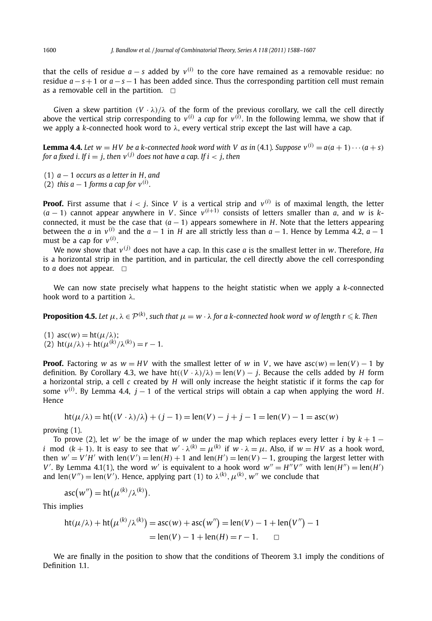that the cells of residue  $a - s$  added by  $v^{(i)}$  to the core have remained as a removable residue: no residue *a* − *s* +1 or *a* − *s* −1 has been added since. Thus the corresponding partition cell must remain as a removable cell in the partition.  $\Box$ 

Given a skew partition  $(V \cdot \lambda)/\lambda$  of the form of the previous corollary, we call the cell directly above the vertical strip corresponding to  $v^{(i)}$  a *cap* for  $v^{(i)}$ . In the following lemma, we show that if we apply a *k*-connected hook word to *λ*, every vertical strip except the last will have a cap.

**Lemma 4.4.** Let  $w = HV$  be a k-connected hook word with V as in (4.1). Suppose  $v^{(i)} = a(a+1)\cdots(a+s)$ *for a fixed i. If i* = *i. then*  $v^{(j)}$  *does not have a cap. If i* < *j, then* 

- (1) *a* − 1 *occurs as a letter in H, and*
- (2) *this a*  $-1$  *forms a cap for*  $v^{(i)}$ *.*

**Proof.** First assume that  $i < j$ . Since V is a vertical strip and  $v^{(i)}$  is of maximal length, the letter  $(a-1)$  cannot appear anywhere in *V*. Since  $v^{(i+1)}$  consists of letters smaller than *a*, and *w* is *k*connected, it must be the case that  $(a - 1)$  appears somewhere in *H*. Note that the letters appearing between the *a* in  $v^{(i)}$  and the  $a - 1$  in *H* are all strictly less than  $a - 1$ . Hence by Lemma 4.2,  $a - 1$ must be a cap for  $v^{(i)}$ .

We now show that *v(j)* does not have a cap. In this case *a* is the smallest letter in *w*. Therefore, *Ha* is a horizontal strip in the partition, and in particular, the cell directly above the cell corresponding to  $a$  does not appear.  $\Box$ 

We can now state precisely what happens to the height statistic when we apply a *k*-connected hook word to a partition *λ*.

**Proposition 4.5.** Let  $\mu$ ,  $\lambda \in \mathcal{P}^{(k)}$ , such that  $\mu = w \cdot \lambda$  for a k-connected hook word w of length  $r \leq k$ . Then

(1)  $asc(w) = ht(\mu/\lambda)$ ; (2)  $\text{ht}(\mu/\lambda) + \text{ht}(\mu^{(k)}/\lambda^{(k)}) = r - 1.$ 

**Proof.** Factoring *w* as  $w = HV$  with the smallest letter of *w* in *V*, we have asc $(w) = \text{len}(V) - 1$  by definition. By Corollary 4.3, we have  $ht((V \cdot \lambda)/\lambda) = len(V) - j$ . Because the cells added by *H* form a horizontal strip, a cell *c* created by *H* will only increase the height statistic if it forms the cap for some *v(i)* . By Lemma 4.4, *j* − 1 of the vertical strips will obtain a cap when applying the word *H*. Hence

$$
ht(\mu/\lambda) = ht((V \cdot \lambda)/\lambda) + (j - 1) = len(V) - j + j - 1 = len(V) - 1 = asc(w)
$$

proving (1).

To prove (2), let *w'* be the image of *w* under the map which replaces every letter *i* by  $k + 1$ *i* mod  $(k + 1)$ . It is easy to see that  $w' \cdot \lambda^{(k)} = \mu^{(k)}$  if  $w \cdot \lambda = \mu$ . Also, if  $w = HV$  as a hook word, then  $w' = V'H'$  with  $len(V') = len(H) + 1$  and  $len(H') = len(V) - 1$ , grouping the largest letter with *V*'. By Lemma 4.1(1), the word *w*<sup>'</sup> is equivalent to a hook word  $w'' = H''V''$  with len $(H'') = len(H')$ and  $\text{len}(V'') = \text{len}(V')$ . Hence, applying part (1) to  $\lambda^{(k)}$ ,  $\mu^{(k)}$ , w'' we conclude that

$$
asc(w'') = ht(\mu^{(k)}/\lambda^{(k)}).
$$

This implies

$$
ht(μ/λ) + ht(μ(k)/λ(k)) = asc(w) + asc(w'') = len(V) – 1 + len(V'') – 1= len(V) – 1 + len(H) = r – 1. □
$$

We are finally in the position to show that the conditions of Theorem 3.1 imply the conditions of Definition 1.1.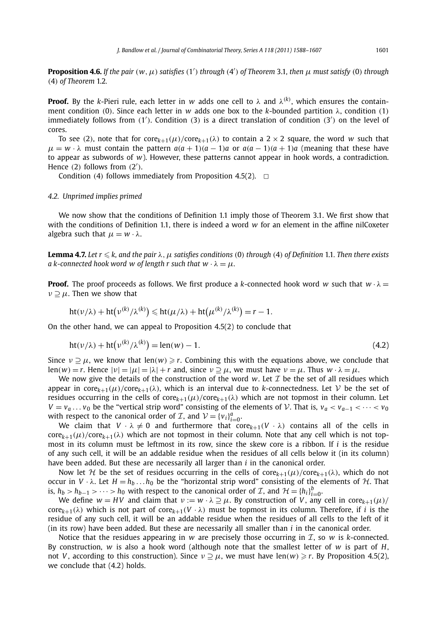**Proposition 4.6.** If the pair  $(w, \mu)$  satisfies  $(1')$  through  $(4')$  of Theorem 3.1, then  $\mu$  must satisfy  $(0)$  through *(*4*) of Theorem* 1.2*.*

**Proof.** By the *k*-Pieri rule, each letter in *w* adds one cell to *λ* and *λ(k)* , which ensures the containment condition *(*0*)*. Since each letter in *w* adds one box to the *k*-bounded partition *λ*, condition *(*1*)* immediately follows from (1<sup>'</sup>). Condition (3) is a direct translation of condition (3<sup>'</sup>) on the level of cores.

To see (2), note that for  $\text{core}_{k+1}(\mu)/\text{core}_{k+1}(\lambda)$  to contain a 2 × 2 square, the word *w* such that  $\mu = w \cdot \lambda$  must contain the pattern  $a(a+1)(a-1)a$  or  $a(a-1)(a+1)a$  (meaning that these have to appear as subwords of *w*). However, these patterns cannot appear in hook words, a contradiction. Hence (2) follows from  $(2')$ .

Condition (4) follows immediately from Proposition 4.5(2).  $\Box$ 

#### *4.2. Unprimed implies primed*

We now show that the conditions of Definition 1.1 imply those of Theorem 3.1. We first show that with the conditions of Definition 1.1, there is indeed a word *w* for an element in the affine nilCoxeter algebra such that  $\mu = w \cdot \lambda$ .

**Lemma 4.7.** *Let r* - *k, and the pair λ,μ satisfies conditions (*0*) through (*4*) of Definition* 1.1*. Then there exists a* k-connected hook word w of length r such that  $w \cdot \lambda = \mu$ .

**Proof.** The proof proceeds as follows. We first produce a *k*-connected hook word *w* such that  $w \cdot \lambda =$  $\nu \supset \mu$ . Then we show that

$$
ht(\nu/\lambda) + ht(\nu^{(k)}/\lambda^{(k)}) \leqslant ht(\mu/\lambda) + ht(\mu^{(k)}/\lambda^{(k)}) = r - 1.
$$

On the other hand, we can appeal to Proposition 4.5(2) to conclude that

$$
ht(\nu/\lambda) + ht(\nu^{(k)}/\lambda^{(k)}) = len(w) - 1.
$$
 (4.2)

Since  $v \supseteq \mu$ , we know that len $(w) \geq r$ . Combining this with the equations above, we conclude that len(*w*) = *r*. Hence  $|v| = |\mu| = |\lambda| + r$  and, since  $v \supseteq \mu$ , we must have  $v = \mu$ . Thus  $w \cdot \lambda = \mu$ .

We now give the details of the construction of the word  $w$ . Let  $\mathcal I$  be the set of all residues which appear in core<sub>k+1</sub> $(\mu)$ /core<sub>k+1</sub> $(\lambda)$ , which is an interval due to *k*-connectedness. Let V be the set of residues occurring in the cells of core $k+1(\mu)/\text{core}_{k+1}(\lambda)$  which are not topmost in their column. Let  $V = v_a \dots v_0$  be the "vertical strip word" consisting of the elements of V. That is,  $v_a < v_{a-1} < \cdots < v_0$ with respect to the canonical order of  $\mathcal{I}$ , and  $\mathcal{V} = \{v_i\}_{i=0}^a$ .

We claim that  $V \cdot \lambda \neq 0$  and furthermore that  $\text{core}_{k+1}(V \cdot \lambda)$  contains all of the cells in  $\text{core}_{k+1}(\mu)/\text{core}_{k+1}(\lambda)$  which are not topmost in their column. Note that any cell which is not topmost in its column must be leftmost in its row, since the skew core is a ribbon. If *i* is the residue of any such cell, it will be an addable residue when the residues of all cells below it (in its column) have been added. But these are necessarily all larger than *i* in the canonical order.

Now let H be the set of residues occurring in the cells of  $\text{core}_{k+1}(\mu)/\text{core}_{k+1}(\lambda)$ , which do not occur in  $V \cdot \lambda$ . Let  $H = h_b \dots h_0$  be the "horizontal strip word" consisting of the elements of  $H$ . That is,  $h_b > h_{b-1} > \cdots > h_0$  with respect to the canonical order of *I*, and  $\mathcal{H} = \{h_i\}_{i=0}^b$ .

We define  $w = HV$  and claim that  $v := w \cdot \lambda \supseteq \mu$ . By construction of *V*, any cell in core<sub>k+1</sub> $(\mu)$ /  $\text{core}_{k+1}(\lambda)$  which is not part of  $\text{core}_{k+1}(V \cdot \lambda)$  must be topmost in its column. Therefore, if *i* is the residue of any such cell, it will be an addable residue when the residues of all cells to the left of it (in its row) have been added. But these are necessarily all smaller than *i* in the canonical order.

Notice that the residues appearing in  $w$  are precisely those occurring in  $\mathcal{I}$ , so  $w$  is *k*-connected. By construction, *w* is also a hook word (although note that the smallest letter of *w* is part of *H*, not *V*, according to this construction). Since  $v \supset u$ , we must have len $(w) \ge r$ . By Proposition 4.5(2), we conclude that (4.2) holds.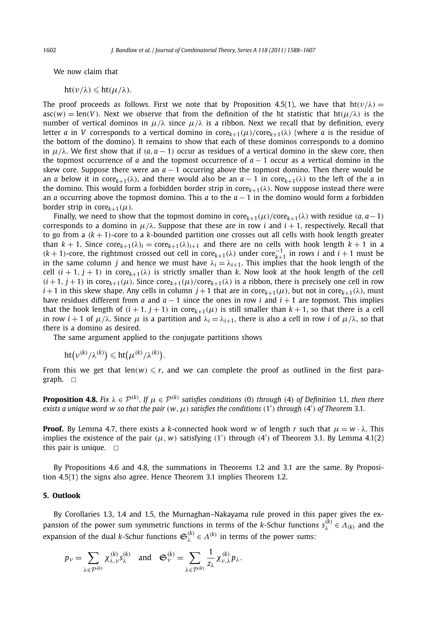We now claim that

$$
ht(\nu/\lambda) \leqslant ht(\mu/\lambda).
$$

The proof proceeds as follows. First we note that by Proposition 4.5(1), we have that  $\text{ht}(\nu/\lambda)$  =  $asc(w) = len(V)$ . Next we observe that from the definition of the ht statistic that  $ht(\mu/\lambda)$  is the number of vertical dominos in  $\mu/\lambda$  since  $\mu/\lambda$  is a ribbon. Next we recall that by definition, every letter *a* in *V* corresponds to a vertical domino in core $k+1(\mu)/\text{core}_{k+1}(\lambda)$  (where *a* is the residue of the bottom of the domino). It remains to show that each of these dominos corresponds to a domino in  $\mu/\lambda$ . We first show that if  $(a, a - 1)$  occur as residues of a vertical domino in the skew core, then the topmost occurrence of *a* and the topmost occurrence of  $a - 1$  occur as a vertical domino in the skew core. Suppose there were an  $a - 1$  occurring above the topmost domino. Then there would be an *a* below it in core $k+1(\lambda)$ , and there would also be an  $a-1$  in core $k+1(\lambda)$  to the left of the *a* in the domino. This would form a forbidden border strip in core*k*+1*(λ)*. Now suppose instead there were an *a* occurring above the topmost domino. This *a* to the *a* − 1 in the domino would form a forbidden border strip in core $k+1}(\mu)$ .

Finally, we need to show that the topmost domino in core $_{k+1}(\mu)/\text{core}_{k+1}(\lambda)$  with residue  $(a, a-1)$ corresponds to a domino in  $\mu/\lambda$ . Suppose that these are in row *i* and  $i+1$ , respectively. Recall that to go from a  $(k+1)$ -core to a  $k$ -bounded partition one crosses out all cells with hook length greater than  $k + 1$ . Since  $\text{core}_{k+1}(\lambda)_i = \text{core}_{k+1}(\lambda)_{i+1}$  and there are no cells with hook length  $k + 1$  in a  $(k + 1)$ -core, the rightmost crossed out cell in core $k+1$ <sub>(</sub>λ) under core $\frac{1}{k+1}$  in rows *i* and *i* + 1 must be in the same column *j* and hence we must have  $\lambda_i = \lambda_{i+1}$ . This implies that the hook length of the cell  $(i + 1, j + 1)$  in core $k+1$ ( $\lambda$ ) is strictly smaller than  $k$ . Now look at the hook length of the cell  $(i+1, j+1)$  in core $_{k+1}(\mu)$ . Since core $_{k+1}(\mu)/\text{core}_{k+1}(\lambda)$  is a ribbon, there is precisely one cell in row  $i+1$  in this skew shape. Any cells in column  $j+1$  that are in core $k+1(\mu)$ , but not in core $k+1(\lambda)$ , must have residues different from *a* and  $a - 1$  since the ones in row *i* and  $i + 1$  are topmost. This implies that the hook length of  $(i + 1, j + 1)$  in core $k+1(\mu)$  is still smaller than  $k + 1$ , so that there is a cell in row *i* + 1 of  $\mu/\lambda$ . Since  $\mu$  is a partition and  $\lambda_i = \lambda_{i+1}$ , there is also a cell in row *i* of  $\mu/\lambda$ , so that there is a domino as desired.

The same argument applied to the conjugate partitions shows

$$
\mathrm{ht}\big(\nu^{(k)}/\lambda^{(k)}\big) \leqslant \mathrm{ht}\big(\mu^{(k)}/\lambda^{(k)}\big).
$$

From this we get that  $len(w) \leq r$ , and we can complete the proof as outlined in the first paragraph.  $\Box$ 

**Proposition 4.8.** Fix  $\lambda \in \mathcal{P}^{(k)}$ . If  $\mu \in \mathcal{P}^{(k)}$  satisfies conditions (0) through (4) of Definition 1.1, then there  $e$ xists a unique word  $w$  so that the pair  $(w, \mu)$  satisfies the conditions  $(1')$  through  $(4')$  of Theorem 3.1.

**Proof.** By Lemma 4.7, there exists a *k*-connected hook word *w* of length *r* such that  $\mu = w \cdot \lambda$ . This implies the existence of the pair  $(\mu, w)$  satisfying  $(1')$  through  $(4')$  of Theorem 3.1. By Lemma 4.1(2) this pair is unique.  $\square$ 

By Propositions 4.6 and 4.8, the summations in Theorems 1.2 and 3.1 are the same. By Proposition 4.5(1) the signs also agree. Hence Theorem 3.1 implies Theorem 1.2.

#### **5. Outlook**

By Corollaries 1.3, 1.4 and 1.5, the Murnaghan–Nakayama rule proved in this paper gives the expansion of the power sum symmetric functions in terms of the *k*-Schur functions  $s_\lambda^{(k)} \in A_{(k)}$  and the expansion of the dual *k*-Schur functions  $\mathfrak{S}_{\lambda}^{(k)} \in \Lambda^{(k)}$  in terms of the power sums:

$$
p_{\nu} = \sum_{\lambda \in \mathcal{P}^{(k)}} \chi_{\lambda,\nu}^{(k)} s_{\lambda}^{(k)} \quad \text{and} \quad \mathfrak{S}_{\nu}^{(k)} = \sum_{\lambda \in \mathcal{P}^{(k)}} \frac{1}{z_{\lambda}} \chi_{\nu,\lambda}^{(k)} p_{\lambda}.
$$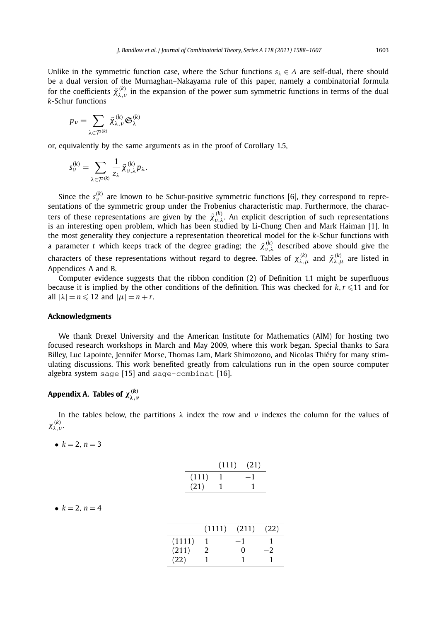Unlike in the symmetric function case, where the Schur functions *s<sup>λ</sup>* ∈ *Λ* are self-dual, there should be a dual version of the Murnaghan–Nakayama rule of this paper, namely a combinatorial formula for the coefficients  $\tilde{\chi}_{\lambda,\nu}^{(k)}$  in the expansion of the power sum symmetric functions in terms of the dual *k*-Schur functions

$$
p_{\nu} = \sum_{\lambda \in \mathcal{P}^{(k)}} \tilde{\chi}_{\lambda,\nu}^{(k)} \mathfrak{S}_{\lambda}^{(k)}
$$

or, equivalently by the same arguments as in the proof of Corollary 1.5,

$$
s_{\nu}^{(k)} = \sum_{\lambda \in \mathcal{P}^{(k)}} \frac{1}{z_{\lambda}} \tilde{\chi}_{\nu,\lambda}^{(k)} p_{\lambda}.
$$

Since the  $s_{\nu}^{(k)}$  are known to be Schur-positive symmetric functions [6], they correspond to representations of the symmetric group under the Frobenius characteristic map. Furthermore, the characters of these representations are given by the  $\tilde{\chi}_{\nu,\lambda}^{(k)}$ . An explicit description of such representations is an interesting open problem, which has been studied by Li-Chung Chen and Mark Haiman [1]. In the most generality they conjecture a representation theoretical model for the *k*-Schur functions with a parameter *t* which keeps track of the degree grading; the  $\tilde{\chi}_{\nu,\lambda}^{(k)}$  described above should give the characters of these representations without regard to degree. Tables of  $\chi^{(k)}_{\lambda,\mu}$  and  $\tilde{\chi}^{(k)}_{\lambda,\mu}$  are listed in Appendices A and B.

Computer evidence suggests that the ribbon condition (2) of Definition 1.1 might be superfluous because it is implied by the other conditions of the definition. This was checked for  $k, r \leq 11$  and for all  $|\lambda| = n \leq 12$  and  $|\mu| = n + r$ .

#### **Acknowledgments**

We thank Drexel University and the American Institute for Mathematics (AIM) for hosting two focused research workshops in March and May 2009, where this work began. Special thanks to Sara Billey, Luc Lapointe, Jennifer Morse, Thomas Lam, Mark Shimozono, and Nicolas Thiéry for many stimulating discussions. This work benefited greatly from calculations run in the open source computer algebra system sage [15] and sage-combinat [16].

# **Appendix A. Tables of** *χ(k) λ,ν*

In the tables below, the partitions  $\lambda$  index the row and  $\nu$  indexes the column for the values of *χ(k) λ,ν* .

|  |  |  | $k = 2, n = 3$ |  |  |  |
|--|--|--|----------------|--|--|--|
|--|--|--|----------------|--|--|--|

|       | (111) | (21) |
|-------|-------|------|
| (111) |       | $-1$ |
| (21)  |       |      |

| 4 |
|---|
|   |

|        | (1111) | (211) | (22) |
|--------|--------|-------|------|
| (1111) |        | - 1   |      |
| (211)  | 2      | 0     |      |
| (22)   |        |       |      |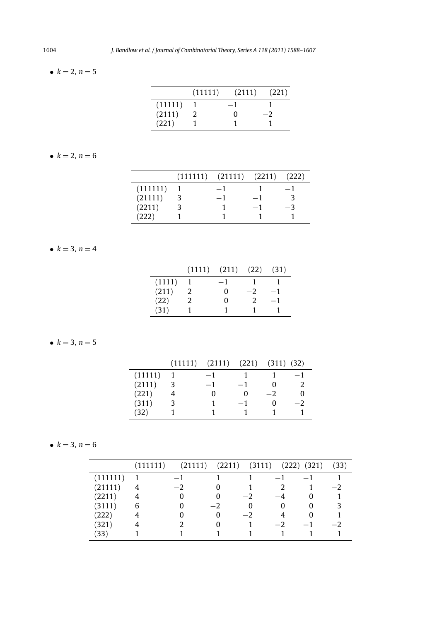## •  $k = 2, n = 5$

|         | (11111) | (2111) | (221) |
|---------|---------|--------|-------|
| (11111) |         | - 1    |       |
| (2111)  |         |        |       |
| (221)   |         |        |       |

## •  $k = 2, n = 6$

|          | $(111111)$ $(21111)$ $(2211)$ |      | (222) |
|----------|-------------------------------|------|-------|
| (111111) | $-1$                          |      |       |
| (21111)  | $-1$                          | $-1$ |       |
| (2211)   |                               | $-1$ | -3    |
| (222)    |                               |      |       |

## •  $k = 3, n = 4$

|        |   | $(1111)$ $(211)$ $(22)$ |      | (31) |
|--------|---|-------------------------|------|------|
| (1111) |   | $-1$                    |      |      |
| (211)  | 2 |                         | $-2$ | $-1$ |
| (22)   | 2 |                         |      | $-1$ |
| (31)   |   |                         |      |      |

## •  $k = 3, n = 5$

|         | $(11111)$ $(2111)$ $(221)$ $(311)$ $(32)$ |      |      |              |
|---------|-------------------------------------------|------|------|--------------|
| (11111) | $-1$                                      |      |      | $-1$         |
| (2111)  | $-1$                                      | $-1$ |      | 2            |
| (221)   |                                           | O    | $-2$ | $\mathbf{I}$ |
| (311)   |                                           | $-1$ |      | -2           |
| (32)    |                                           |      |      |              |

## •  $k = 3, n = 6$

|          | (111111 | (21111) | (2211) | (3111) | (222)    | (321)        | (33) |
|----------|---------|---------|--------|--------|----------|--------------|------|
| (111111) |         | $-1$    |        |        | $-1$     | — I          |      |
| (21111)  | 4       | $-2$    | O      |        |          |              |      |
| (2211)   | 4       |         | 0      | $-2$   |          |              |      |
| (3111)   | 6       |         | $-2$   |        | $\theta$ | $\mathbf{0}$ |      |
| (222)    |         |         | 0      | $-2$   | 4        | $\mathbf{0}$ |      |
| (321)    |         |         | O      |        | $-2$     | $-1$         |      |
| (33)     |         |         |        |        |          |              |      |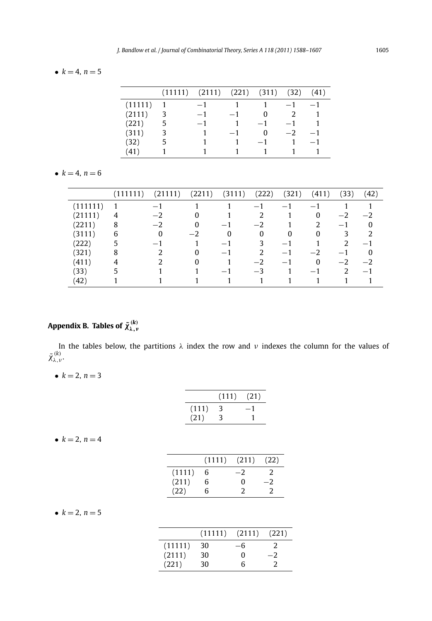## •  $k = 4, n = 5$

|         | (11111) | (2111) | (221) | (311) | (32) | (41) |
|---------|---------|--------|-------|-------|------|------|
| (11111) |         | $-1$   |       |       | $-1$ |      |
| (2111)  |         | $-1$   |       |       | 2    |      |
| (221)   | 5       | $-1$   |       | - 1   | $-1$ |      |
| (311)   |         |        |       | 0     | $-2$ |      |
| (32)    | 5       |        |       | $-1$  |      |      |
| (41)    |         |        |       |       |      |      |

## •  $k = 4, n = 6$

|          | (111111) | (21111) | (2211) | (3111)   | (222) | (321)    | (411)                    | (33) | (42)                     |
|----------|----------|---------|--------|----------|-------|----------|--------------------------|------|--------------------------|
| (111111) |          | $-$     |        |          | $-1$  | - 1      | $\overline{\phantom{0}}$ |      |                          |
| (21111)  | 4        |         | 0      |          |       |          | 0                        | $-2$ | — 2                      |
| (2211)   | 8        | $-2$    | 0      | $-1$     | $-2$  |          |                          | $-1$ |                          |
| (3111)   | 6        | 0       | $-2$   | $\Omega$ | 0     | $\Omega$ | 0                        | 3    |                          |
| (222)    | 5        | — I     |        | $-1$     | 3     | - 1      |                          | 2    | $\overline{\phantom{0}}$ |
| (321)    | 8        |         | 0      | $-1$     |       | – 1      | $-2$                     | — 1  |                          |
| (411)    |          |         | O      |          | $-2$  | – 1      | $\Omega$                 | $-2$ | $\overline{\phantom{0}}$ |
| (33)     |          |         |        | $-1$     | $-3$  |          | $-1$                     | 2    | $\overline{\phantom{0}}$ |
| (42)     |          |         |        |          |       |          |                          |      |                          |

# $\mathsf{Appendix\ B.\ Tables\ of\ } \tilde{\chi}_{\lambda,\nu}^{(k)}$

In the tables below, the partitions *λ* index the row and *ν* indexes the column for the values of  $\tilde{\chi}^{(k)}_{\lambda,\nu}$ .

•  $k = 2, n = 3$ 

|       | (111) | (21) |
|-------|-------|------|
| (111) | 3     |      |
| (21)  | 3     |      |

•  $k = 2, n = 4$ 

|        | (1111) | (211) | (22) |
|--------|--------|-------|------|
| (1111) | 6      | -2    |      |
| (211)  | 6      | O     | - 2  |
| (22)   | 6      | 2     |      |

## •  $k = 2, n = 5$

|         | (11111) | (2111) | (221) |
|---------|---------|--------|-------|
| (11111) | 30      | -6     |       |
| (2111)  | 30      | 0      |       |
| (221)   | 30      | հ      |       |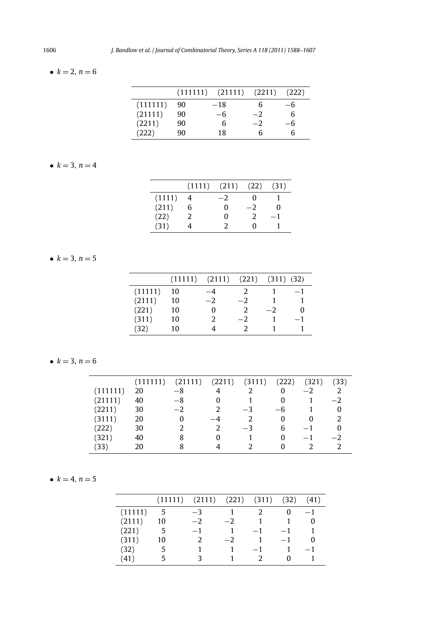## •  $k = 2, n = 6$

|          | (111111) | $(21111)$ $(2211)$ |      | (222) |
|----------|----------|--------------------|------|-------|
| (111111) | 90       | $-18$              | 6    | -6    |
| (21111)  | 90       | -6                 | $-2$ | 6     |
| (2211)   | 90       | 6                  | $-2$ | $-6$  |
| (222)    | 90       | 18                 | Б    |       |

## •  $k = 3, n = 4$

|        | $(1111)$ $(211)$ |    | (22) | (31) |
|--------|------------------|----|------|------|
| (1111) |                  | -2 |      |      |
| (211)  | 6                | 0  | -2   |      |
| (22)   |                  |    |      | $-1$ |
| (31)   |                  |    |      |      |

## •  $k = 3, n = 5$

|         | (11111) | (2111) | (221) | $(311)$ $(32)$ |      |
|---------|---------|--------|-------|----------------|------|
| (11111) | 10      | -4     | 2     |                | $-1$ |
| (2111)  | 10      | $-2$   | $-2$  |                |      |
| (221)   | 10      |        | 2     | $-2$           | O    |
| (311)   | 10      | 2      | $-2$  |                | $-1$ |
| (32)    | 10      |        |       |                |      |

## •  $k = 3, n = 6$

|          | (111111) | (21111) | (2211)        | (3111) | (222) | (321) | (33) |
|----------|----------|---------|---------------|--------|-------|-------|------|
| (111111) | 20       | $-8$    |               | っ      | 0     | $-2$  |      |
| (21111)  | 40       | $-8$    | 0             |        |       |       | $-2$ |
| (2211)   | 30       | $-2$    | $\mathcal{P}$ | $-3$   | $-6$  |       | 0    |
| (3111)   | 20       | 0       |               |        | 0     | 0     |      |
| (222)    | 30       |         | $\mathcal{P}$ | $-3$   | 6     | $-1$  | 0    |
| (321)    | 40       | 8       | 0             |        | O     | $-1$  | $-2$ |
| (33)     | 20       |         |               |        | U     |       |      |

$$
\bullet \ k=4, n=5
$$

|         | (11111) | (2111) | (221) | (311) | (32) | (41) |
|---------|---------|--------|-------|-------|------|------|
| (11111) | 5       | $-3$   |       |       |      | -- 1 |
| (2111)  | 10      | $-2$   | $-2$  |       |      |      |
| (221)   | .5      | $-1$   |       | $-1$  | $-1$ |      |
| (311)   | 10      | 2      | $-2$  |       | $-1$ |      |
| (32)    | 5       |        |       | $-1$  |      | - 1  |
| (41)    |         |        |       |       |      |      |